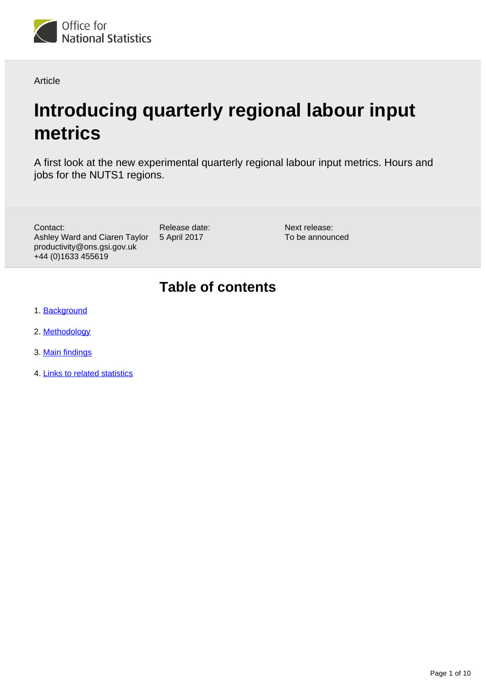

Article

# **Introducing quarterly regional labour input metrics**

A first look at the new experimental quarterly regional labour input metrics. Hours and jobs for the NUTS1 regions.

Contact: Ashley Ward and Ciaren Taylor productivity@ons.gsi.gov.uk +44 (0)1633 455619

Release date: 5 April 2017

Next release: To be announced

## **Table of contents**

- 1. [Background](#page-1-0)
- 2. [Methodology](#page-1-1)
- 3. [Main findings](#page-2-0)
- 4. [Links to related statistics](#page-7-0)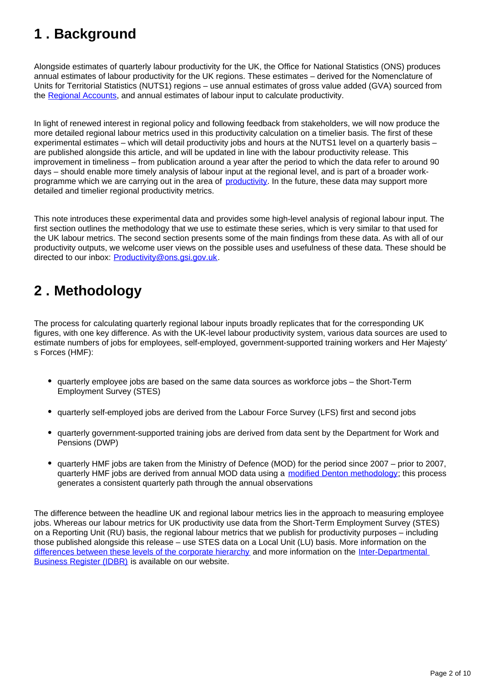## <span id="page-1-0"></span>**1 . Background**

Alongside estimates of quarterly labour productivity for the UK, the Office for National Statistics (ONS) produces annual estimates of labour productivity for the UK regions. These estimates – derived for the Nomenclature of Units for Territorial Statistics (NUTS1) regions – use annual estimates of gross value added (GVA) sourced from the [Regional Accounts](https://www.ons.gov.uk/economy/grossvalueaddedgva/bulletins/regionalgrossvalueaddedincomeapproach/december2016), and annual estimates of labour input to calculate productivity.

In light of renewed interest in regional policy and following feedback from stakeholders, we will now produce the more detailed regional labour metrics used in this productivity calculation on a timelier basis. The first of these experimental estimates – which will detail productivity jobs and hours at the NUTS1 level on a quarterly basis – are published alongside this article, and will be updated in line with the labour productivity release. This improvement in timeliness – from publication around a year after the period to which the data refer to around 90 days – should enable more timely analysis of labour input at the regional level, and is part of a broader workprogramme which we are carrying out in the area of [productivity.](https://www.ons.gov.uk/employmentandlabourmarket/peopleinwork/labourproductivity/articles/ukproductivityintroduction/julytosept2016) In the future, these data may support more detailed and timelier regional productivity metrics.

This note introduces these experimental data and provides some high-level analysis of regional labour input. The first section outlines the methodology that we use to estimate these series, which is very similar to that used for the UK labour metrics. The second section presents some of the main findings from these data. As with all of our productivity outputs, we welcome user views on the possible uses and usefulness of these data. These should be directed to our inbox: Productivity@ons.gsi.gov.uk.

## <span id="page-1-1"></span>**2 . Methodology**

The process for calculating quarterly regional labour inputs broadly replicates that for the corresponding UK figures, with one key difference. As with the UK-level labour productivity system, various data sources are used to estimate numbers of jobs for employees, self-employed, government-supported training workers and Her Majesty' s Forces (HMF):

- quarterly employee jobs are based on the same data sources as workforce jobs the Short-Term Employment Survey (STES)
- quarterly self-employed jobs are derived from the Labour Force Survey (LFS) first and second jobs
- quarterly government-supported training jobs are derived from data sent by the Department for Work and Pensions (DWP)
- quarterly HMF jobs are taken from the Ministry of Defence (MOD) for the period since 2007 prior to 2007, quarterly HMF jobs are derived from annual MOD data using a [modified Denton methodology;](https://www.imf.org/external/pubs/ft/qna/2000/Textbook/ch6.pdf) this process generates a consistent quarterly path through the annual observations

The difference between the headline UK and regional labour metrics lies in the approach to measuring employee jobs. Whereas our labour metrics for UK productivity use data from the Short-Term Employment Survey (STES) on a Reporting Unit (RU) basis, the regional labour metrics that we publish for productivity purposes – including those published alongside this release – use STES data on a Local Unit (LU) basis. More information on the [differences between these levels of the corporate hierarchy](https://www.ons.gov.uk/ons/guide-method/method-quality/specific/business-and-energy/business-population/further-information-about-idbr-sources.pdf) and more information on the Inter-Departmental [Business Register \(IDBR\)](https://www.ons.gov.uk/ons/rel/elmr/economic-and-labour-market-review/no--6--june-2009/methods-explained--business-structure-database.pdf) is available on our website.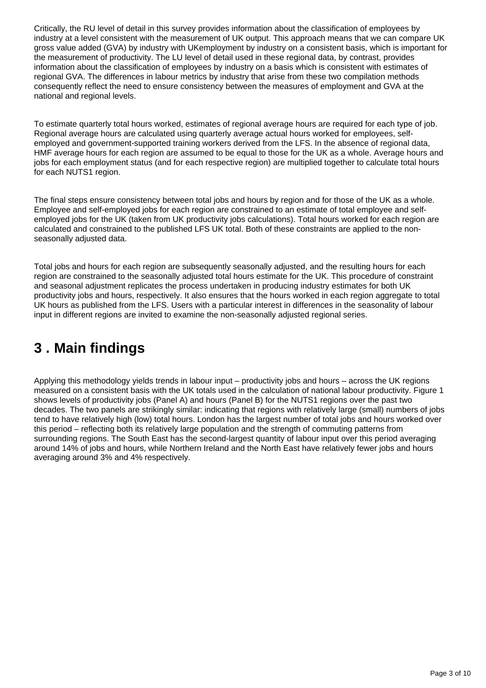Critically, the RU level of detail in this survey provides information about the classification of employees by industry at a level consistent with the measurement of UK output. This approach means that we can compare UK gross value added (GVA) by industry with UKemployment by industry on a consistent basis, which is important for the measurement of productivity. The LU level of detail used in these regional data, by contrast, provides information about the classification of employees by industry on a basis which is consistent with estimates of regional GVA. The differences in labour metrics by industry that arise from these two compilation methods consequently reflect the need to ensure consistency between the measures of employment and GVA at the national and regional levels.

To estimate quarterly total hours worked, estimates of regional average hours are required for each type of job. Regional average hours are calculated using quarterly average actual hours worked for employees, selfemployed and government-supported training workers derived from the LFS. In the absence of regional data, HMF average hours for each region are assumed to be equal to those for the UK as a whole. Average hours and jobs for each employment status (and for each respective region) are multiplied together to calculate total hours for each NUTS1 region.

The final steps ensure consistency between total jobs and hours by region and for those of the UK as a whole. Employee and self-employed jobs for each region are constrained to an estimate of total employee and selfemployed jobs for the UK (taken from UK productivity jobs calculations). Total hours worked for each region are calculated and constrained to the published LFS UK total. Both of these constraints are applied to the nonseasonally adjusted data.

Total jobs and hours for each region are subsequently seasonally adjusted, and the resulting hours for each region are constrained to the seasonally adjusted total hours estimate for the UK. This procedure of constraint and seasonal adjustment replicates the process undertaken in producing industry estimates for both UK productivity jobs and hours, respectively. It also ensures that the hours worked in each region aggregate to total UK hours as published from the LFS. Users with a particular interest in differences in the seasonality of labour input in different regions are invited to examine the non-seasonally adjusted regional series.

## <span id="page-2-0"></span>**3 . Main findings**

Applying this methodology yields trends in labour input – productivity jobs and hours – across the UK regions measured on a consistent basis with the UK totals used in the calculation of national labour productivity. Figure 1 shows levels of productivity jobs (Panel A) and hours (Panel B) for the NUTS1 regions over the past two decades. The two panels are strikingly similar: indicating that regions with relatively large (small) numbers of jobs tend to have relatively high (low) total hours. London has the largest number of total jobs and hours worked over this period – reflecting both its relatively large population and the strength of commuting patterns from surrounding regions. The South East has the second-largest quantity of labour input over this period averaging around 14% of jobs and hours, while Northern Ireland and the North East have relatively fewer jobs and hours averaging around 3% and 4% respectively.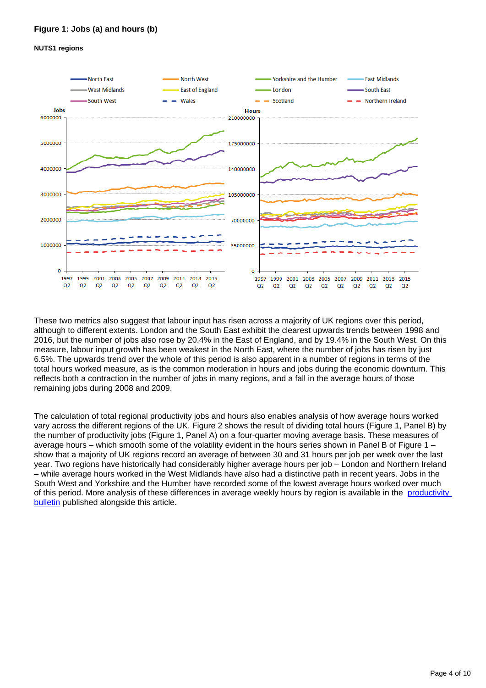### **Figure 1: Jobs (a) and hours (b)**

#### **NUTS1 regions**



These two metrics also suggest that labour input has risen across a majority of UK regions over this period, although to different extents. London and the South East exhibit the clearest upwards trends between 1998 and 2016, but the number of jobs also rose by 20.4% in the East of England, and by 19.4% in the South West. On this measure, labour input growth has been weakest in the North East, where the number of jobs has risen by just 6.5%. The upwards trend over the whole of this period is also apparent in a number of regions in terms of the total hours worked measure, as is the common moderation in hours and jobs during the economic downturn. This reflects both a contraction in the number of jobs in many regions, and a fall in the average hours of those remaining jobs during 2008 and 2009.

The calculation of total regional productivity jobs and hours also enables analysis of how average hours worked vary across the different regions of the UK. Figure 2 shows the result of dividing total hours (Figure 1, Panel B) by the number of productivity jobs (Figure 1, Panel A) on a four-quarter moving average basis. These measures of average hours – which smooth some of the volatility evident in the hours series shown in Panel B of Figure 1 – show that a majority of UK regions record an average of between 30 and 31 hours per job per week over the last year. Two regions have historically had considerably higher average hours per job – London and Northern Ireland – while average hours worked in the West Midlands have also had a distinctive path in recent years. Jobs in the South West and Yorkshire and the Humber have recorded some of the lowest average hours worked over much of this period. More analysis of these differences in average weekly hours by region is available in the productivity [bulletin](https://www.ons.gov.uk/employmentandlabourmarket/peopleinwork/labourproductivity/articles/ukproductivityintroduction/previousReleases) published alongside this article.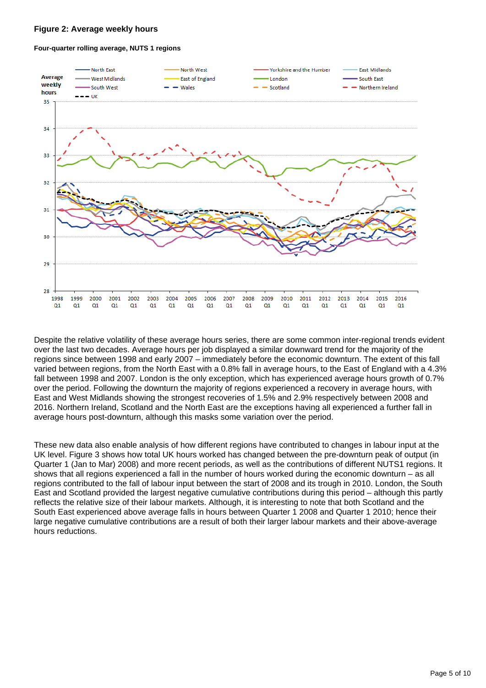#### **Figure 2: Average weekly hours**

#### **Four-quarter rolling average, NUTS 1 regions**



Despite the relative volatility of these average hours series, there are some common inter-regional trends evident over the last two decades. Average hours per job displayed a similar downward trend for the majority of the regions since between 1998 and early 2007 – immediately before the economic downturn. The extent of this fall varied between regions, from the North East with a 0.8% fall in average hours, to the East of England with a 4.3% fall between 1998 and 2007. London is the only exception, which has experienced average hours growth of 0.7% over the period. Following the downturn the majority of regions experienced a recovery in average hours, with East and West Midlands showing the strongest recoveries of 1.5% and 2.9% respectively between 2008 and 2016. Northern Ireland, Scotland and the North East are the exceptions having all experienced a further fall in average hours post-downturn, although this masks some variation over the period.

These new data also enable analysis of how different regions have contributed to changes in labour input at the UK level. Figure 3 shows how total UK hours worked has changed between the pre-downturn peak of output (in Quarter 1 (Jan to Mar) 2008) and more recent periods, as well as the contributions of different NUTS1 regions. It shows that all regions experienced a fall in the number of hours worked during the economic downturn – as all regions contributed to the fall of labour input between the start of 2008 and its trough in 2010. London, the South East and Scotland provided the largest negative cumulative contributions during this period – although this partly reflects the relative size of their labour markets. Although, it is interesting to note that both Scotland and the South East experienced above average falls in hours between Quarter 1 2008 and Quarter 1 2010; hence their large negative cumulative contributions are a result of both their larger labour markets and their above-average hours reductions.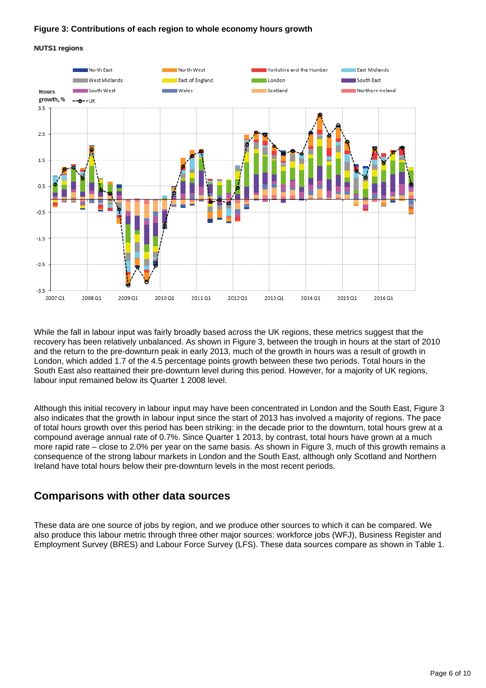#### **Figure 3: Contributions of each region to whole economy hours growth**





While the fall in labour input was fairly broadly based across the UK regions, these metrics suggest that the recovery has been relatively unbalanced. As shown in Figure 3, between the trough in hours at the start of 2010 and the return to the pre-downturn peak in early 2013, much of the growth in hours was a result of growth in London, which added 1.7 of the 4.5 percentage points growth between these two periods. Total hours in the South East also reattained their pre-downturn level during this period. However, for a majority of UK regions, labour input remained below its Quarter 1 2008 level.

Although this initial recovery in labour input may have been concentrated in London and the South East, Figure 3 also indicates that the growth in labour input since the start of 2013 has involved a majority of regions. The pace of total hours growth over this period has been striking: in the decade prior to the downturn, total hours grew at a compound average annual rate of 0.7%. Since Quarter 1 2013, by contrast, total hours have grown at a much more rapid rate – close to 2.0% per year on the same basis. As shown in Figure 3, much of this growth remains a consequence of the strong labour markets in London and the South East, although only Scotland and Northern Ireland have total hours below their pre-downturn levels in the most recent periods.

### **Comparisons with other data sources**

These data are one source of jobs by region, and we produce other sources to which it can be compared. We also produce this labour metric through three other major sources: workforce jobs (WFJ), Business Register and Employment Survey (BRES) and Labour Force Survey (LFS). These data sources compare as shown in Table 1.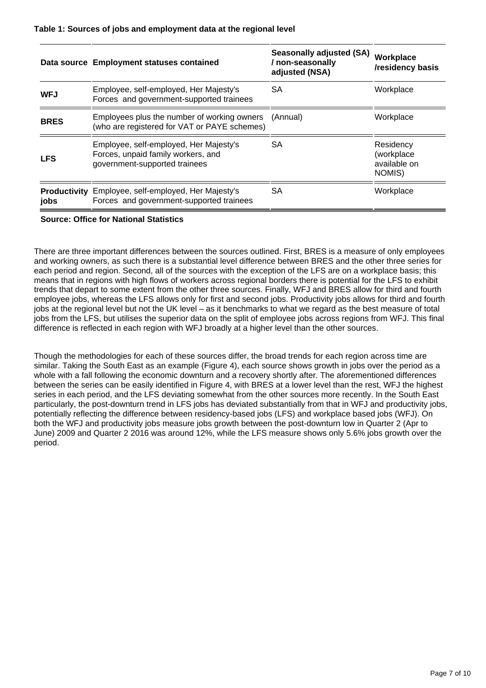|             | Data source Employment statuses contained                                                                     | <b>Seasonally adjusted (SA)</b><br>/ non-seasonally<br>adjusted (NSA) | Workplace<br>/residency basis                     |
|-------------|---------------------------------------------------------------------------------------------------------------|-----------------------------------------------------------------------|---------------------------------------------------|
| <b>WFJ</b>  | Employee, self-employed, Her Majesty's<br>Forces and government-supported trainees                            | SA                                                                    | Workplace                                         |
| <b>BRES</b> | Employees plus the number of working owners<br>(who are registered for VAT or PAYE schemes)                   | (Annual)                                                              | Workplace                                         |
| <b>LFS</b>  | Employee, self-employed, Her Majesty's<br>Forces, unpaid family workers, and<br>government-supported trainees | SA                                                                    | Residency<br>(workplace<br>available on<br>NOMIS) |
| jobs        | <b>Productivity</b> Employee, self-employed, Her Majesty's<br>Forces and government-supported trainees        | SA                                                                    | Workplace                                         |

#### **Source: Office for National Statistics**

There are three important differences between the sources outlined. First, BRES is a measure of only employees and working owners, as such there is a substantial level difference between BRES and the other three series for each period and region. Second, all of the sources with the exception of the LFS are on a workplace basis; this means that in regions with high flows of workers across regional borders there is potential for the LFS to exhibit trends that depart to some extent from the other three sources. Finally, WFJ and BRES allow for third and fourth employee jobs, whereas the LFS allows only for first and second jobs. Productivity jobs allows for third and fourth jobs at the regional level but not the UK level – as it benchmarks to what we regard as the best measure of total jobs from the LFS, but utilises the superior data on the split of employee jobs across regions from WFJ. This final difference is reflected in each region with WFJ broadly at a higher level than the other sources.

Though the methodologies for each of these sources differ, the broad trends for each region across time are similar. Taking the South East as an example (Figure 4), each source shows growth in jobs over the period as a whole with a fall following the economic downturn and a recovery shortly after. The aforementioned differences between the series can be easily identified in Figure 4, with BRES at a lower level than the rest, WFJ the highest series in each period, and the LFS deviating somewhat from the other sources more recently. In the South East particularly, the post-downturn trend in LFS jobs has deviated substantially from that in WFJ and productivity jobs, potentially reflecting the difference between residency-based jobs (LFS) and workplace based jobs (WFJ). On both the WFJ and productivity jobs measure jobs growth between the post-downturn low in Quarter 2 (Apr to June) 2009 and Quarter 2 2016 was around 12%, while the LFS measure shows only 5.6% jobs growth over the period.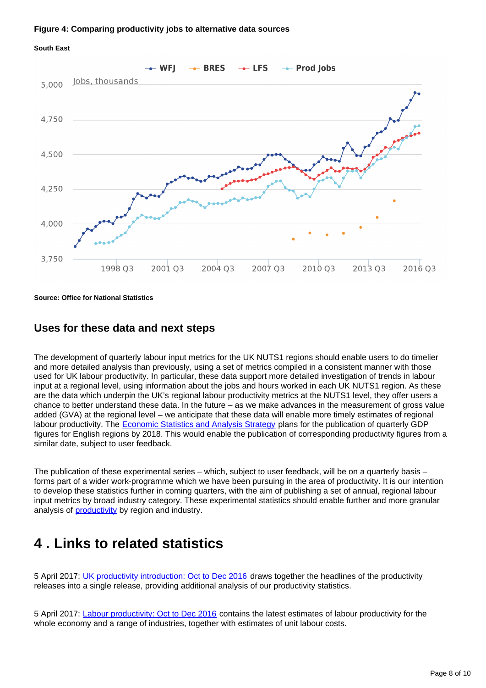#### **Figure 4: Comparing productivity jobs to alternative data sources**





**Source: Office for National Statistics**

### **Uses for these data and next steps**

The development of quarterly labour input metrics for the UK NUTS1 regions should enable users to do timelier and more detailed analysis than previously, using a set of metrics compiled in a consistent manner with those used for UK labour productivity. In particular, these data support more detailed investigation of trends in labour input at a regional level, using information about the jobs and hours worked in each UK NUTS1 region. As these are the data which underpin the UK's regional labour productivity metrics at the NUTS1 level, they offer users a chance to better understand these data. In the future – as we make advances in the measurement of gross value added (GVA) at the regional level – we anticipate that these data will enable more timely estimates of regional labour productivity. The **[Economic Statistics and Analysis Strategy](https://www.ons.gov.uk/aboutus/whatwedo/statistics/consultationsandsurveys/allconsultationsandsurveys/economicstatisticsandanalysisstrategy)** plans for the publication of quarterly GDP figures for English regions by 2018. This would enable the publication of corresponding productivity figures from a similar date, subject to user feedback.

The publication of these experimental series – which, subject to user feedback, will be on a quarterly basis – forms part of a wider work-programme which we have been pursuing in the area of productivity. It is our intention to develop these statistics further in coming quarters, with the aim of publishing a set of annual, regional labour input metrics by broad industry category. These experimental statistics should enable further and more granular analysis of **productivity** by region and industry.

### <span id="page-7-0"></span>**4 . Links to related statistics**

5 April 2017: [UK productivity introduction: Oct to Dec 2016](https://www.ons.gov.uk/employmentandlabourmarket/peopleinwork/labourproductivity/articles/ukproductivityintroduction/previousReleases) draws together the headlines of the productivity releases into a single release, providing additional analysis of our productivity statistics.

5 April 2017: [Labour productivity: Oct to Dec 2016](https://www.ons.gov.uk/employmentandlabourmarket/peopleinwork/labourproductivity/bulletins/labourproductivity/octtodec2016) contains the latest estimates of labour productivity for the whole economy and a range of industries, together with estimates of unit labour costs.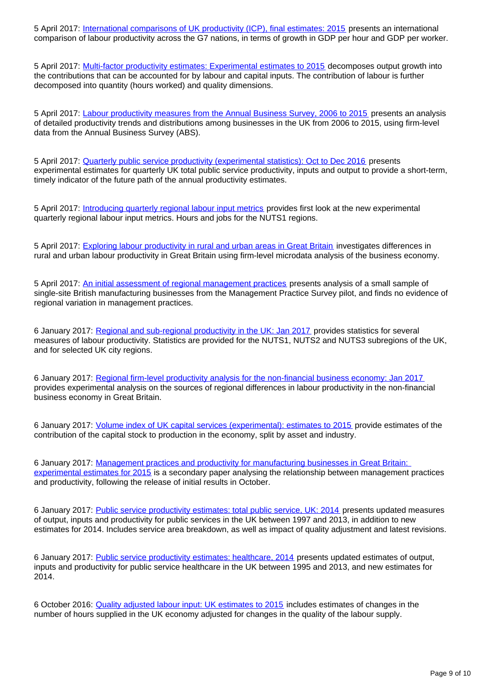5 April 2017: [International comparisons of UK productivity \(ICP\), final estimates: 2015](https://www.ons.gov.co.uk/economy/economicoutputandproductivity/productivitymeasures/bulletins/internationalcomparisonsofproductivityfinalestimates/2015) presents an international comparison of labour productivity across the G7 nations, in terms of growth in GDP per hour and GDP per worker.

5 April 2017: [Multi-factor productivity estimates: Experimental estimates to 2015](https://www.ons.gov.uk/economy/economicoutputandproductivity/productivitymeasures/articles/multifactorproductivityestimates/experimentalestimatesto2015) decomposes output growth into the contributions that can be accounted for by labour and capital inputs. The contribution of labour is further decomposed into quantity (hours worked) and quality dimensions.

5 April 2017: [Labour productivity measures from the Annual Business Survey, 2006 to 2015](https://www.ons.gov.uk/economy/economicoutputandproductivity/productivitymeasures/articles/labourproductivitymeasuresfromtheannualbusinesssurvey/2006to2015) presents an analysis of detailed productivity trends and distributions among businesses in the UK from 2006 to 2015, using firm-level data from the Annual Business Survey (ABS).

5 April 2017: [Quarterly public service productivity \(experimental statistics\): Oct to Dec 2016](https://www.ons.gov.co.uk/employmentandlabourmarket/peopleinwork/labourproductivity/articles/quarterlypublicserviceproductivityexperimentalstatistics/octtodec2016) presents experimental estimates for quarterly UK total public service productivity, inputs and output to provide a short-term, timely indicator of the future path of the annual productivity estimates.

5 April 2017: [Introducing quarterly regional labour input metrics](https://www.ons.gov.uk/employmentandlabourmarket/peopleinwork/labourproductivity/articles/introducingquarterlyregionallabourinputmetrics/2017-04-11) provides first look at the new experimental quarterly regional labour input metrics. Hours and jobs for the NUTS1 regions.

5 April 2017: [Exploring labour productivity in rural and urban areas in Great Britain](https://www.ons.gov.uk/employmentandlabourmarket/peopleinwork/labourproductivity/articles/exploringlabourproductivityinruralandurbanareasingreatbritain/2014) investigates differences in rural and urban labour productivity in Great Britain using firm-level microdata analysis of the business economy.

5 April 2017: [An initial assessment of regional management practices](https://www.ons.gov.uk/economy/economicoutputandproductivity/productivitymeasures/articles/managementpracticesandproductivityaregionalperspective/2015) presents analysis of a small sample of single-site British manufacturing businesses from the Management Practice Survey pilot, and finds no evidence of regional variation in management practices.

6 January 2017: [Regional and sub-regional productivity in the UK: Jan 2017](https://www.ons.gov.uk/employmentandlabourmarket/peopleinwork/labourproductivity/articles/regionalandsubregionalproductivityintheuk/jan2017) provides statistics for several measures of labour productivity. Statistics are provided for the NUTS1, NUTS2 and NUTS3 subregions of the UK, and for selected UK city regions.

6 January 2017: [Regional firm-level productivity analysis for the non-financial business economy: Jan 2017](https://www.ons.gov.uk/employmentandlabourmarket/peopleinwork/labourproductivity/articles/regionalfirmlevelproductivityanalysisforthenonfinancialbusinesseconomy/jan2017) provides experimental analysis on the sources of regional differences in labour productivity in the non-financial business economy in Great Britain.

6 January 2017: [Volume index of UK capital services \(experimental\): estimates to 2015](https://www.ons.gov.uk/economy/economicoutputandproductivity/output/articles/volumeindexofukcapitalservicesexperimental/estimatesto2015) provide estimates of the contribution of the capital stock to production in the economy, split by asset and industry.

6 January 2017: [Management practices and productivity for manufacturing businesses in Great Britain:](https://www.ons.gov.uk/employmentandlabourmarket/peopleinwork/labourproductivity/articles/experimentaldataonthemanagementpracticesofmanufacturingbusinessesingreatbritain/experimentalestimatesfor2015)  [experimental estimates for 2015](https://www.ons.gov.uk/employmentandlabourmarket/peopleinwork/labourproductivity/articles/experimentaldataonthemanagementpracticesofmanufacturingbusinessesingreatbritain/experimentalestimatesfor2015) is a secondary paper analysing the relationship between management practices and productivity, following the release of initial results in October.

6 January 2017: [Public service productivity estimates: total public service, UK: 2014](https://www.ons.gov.uk/economy/economicoutputandproductivity/publicservicesproductivity/articles/publicservicesproductivityestimatestotalpublicservices/2014) presents updated measures of output, inputs and productivity for public services in the UK between 1997 and 2013, in addition to new estimates for 2014. Includes service area breakdown, as well as impact of quality adjustment and latest revisions.

6 January 2017: [Public service productivity estimates: healthcare, 2014](https://www.ons.gov.uk/economy/economicoutputandproductivity/publicservicesproductivity/articles/publicservicesproductivityestimateshealthcare/healthcare2014) presents updated estimates of output, inputs and productivity for public service healthcare in the UK between 1995 and 2013, and new estimates for 2014.

6 October 2016: [Quality adjusted labour input: UK estimates to 2015](https://www.ons.gov.uk/economy/economicoutputandproductivity/productivitymeasures/articles/qualityadjustedlabourinput/estimatesto2015) includes estimates of changes in the number of hours supplied in the UK economy adjusted for changes in the quality of the labour supply.